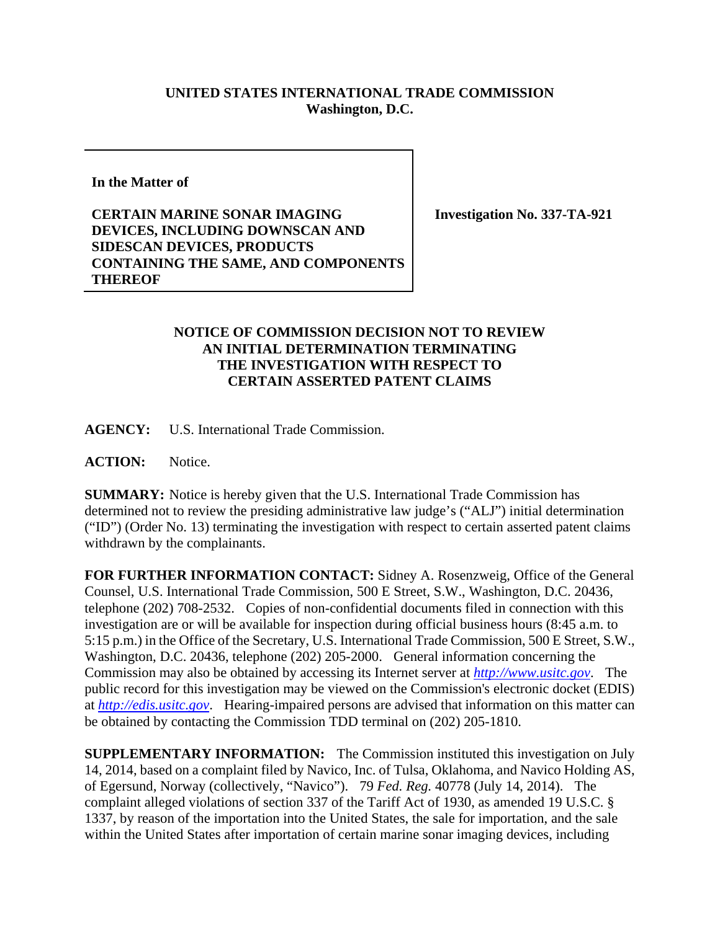## **UNITED STATES INTERNATIONAL TRADE COMMISSION Washington, D.C.**

**In the Matter of** 

**CERTAIN MARINE SONAR IMAGING DEVICES, INCLUDING DOWNSCAN AND SIDESCAN DEVICES, PRODUCTS CONTAINING THE SAME, AND COMPONENTS THEREOF** 

**Investigation No. 337-TA-921** 

## **NOTICE OF COMMISSION DECISION NOT TO REVIEW AN INITIAL DETERMINATION TERMINATING THE INVESTIGATION WITH RESPECT TO CERTAIN ASSERTED PATENT CLAIMS**

**AGENCY:** U.S. International Trade Commission.

**ACTION:** Notice.

**SUMMARY:** Notice is hereby given that the U.S. International Trade Commission has determined not to review the presiding administrative law judge's ("ALJ") initial determination ("ID") (Order No. 13) terminating the investigation with respect to certain asserted patent claims withdrawn by the complainants.

**FOR FURTHER INFORMATION CONTACT:** Sidney A. Rosenzweig, Office of the General Counsel, U.S. International Trade Commission, 500 E Street, S.W., Washington, D.C. 20436, telephone (202) 708-2532. Copies of non-confidential documents filed in connection with this investigation are or will be available for inspection during official business hours (8:45 a.m. to 5:15 p.m.) in the Office of the Secretary, U.S. International Trade Commission, 500 E Street, S.W., Washington, D.C. 20436, telephone (202) 205-2000. General information concerning the Commission may also be obtained by accessing its Internet server at *http://www.usitc.gov*. The public record for this investigation may be viewed on the Commission's electronic docket (EDIS) at *http://edis.usitc.gov*. Hearing-impaired persons are advised that information on this matter can be obtained by contacting the Commission TDD terminal on (202) 205-1810.

**SUPPLEMENTARY INFORMATION:** The Commission instituted this investigation on July 14, 2014, based on a complaint filed by Navico, Inc. of Tulsa, Oklahoma, and Navico Holding AS, of Egersund, Norway (collectively, "Navico"). 79 *Fed. Reg.* 40778 (July 14, 2014). The complaint alleged violations of section 337 of the Tariff Act of 1930, as amended 19 U.S.C. § 1337, by reason of the importation into the United States, the sale for importation, and the sale within the United States after importation of certain marine sonar imaging devices, including